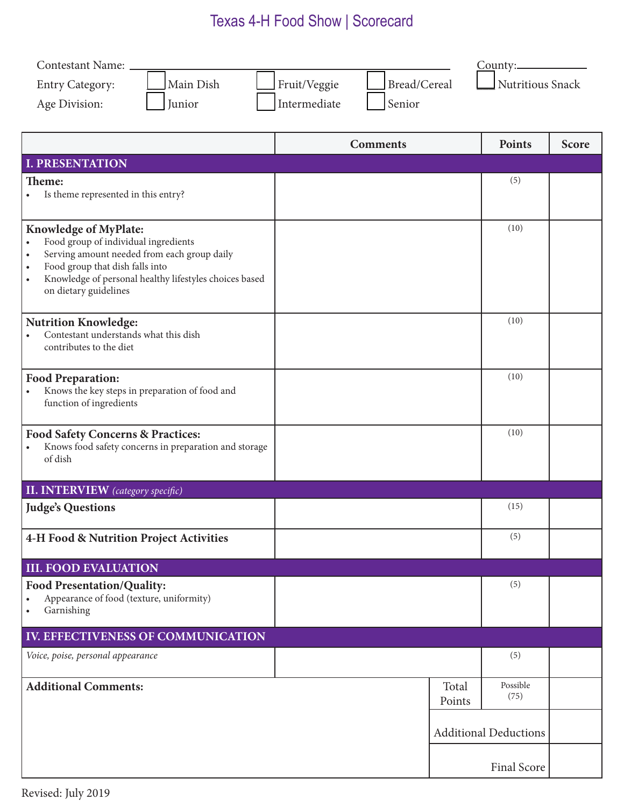## Texas 4-H Food Show | Scorecard

| Contestant Name:                                                                                         |                              |        | $\frac{Country:$             |              |  |
|----------------------------------------------------------------------------------------------------------|------------------------------|--------|------------------------------|--------------|--|
| Main Dish<br><b>Entry Category:</b>                                                                      | Bread/Cereal<br>Fruit/Veggie |        | Nutritious Snack             |              |  |
| Junior<br>Age Division:                                                                                  | Intermediate<br>Senior       |        |                              |              |  |
|                                                                                                          |                              |        |                              |              |  |
|                                                                                                          | <b>Comments</b>              |        | Points                       | <b>Score</b> |  |
| <b>I. PRESENTATION</b>                                                                                   |                              |        |                              |              |  |
| Theme:                                                                                                   |                              |        | (5)                          |              |  |
| Is theme represented in this entry?                                                                      |                              |        |                              |              |  |
| <b>Knowledge of MyPlate:</b>                                                                             |                              |        | (10)                         |              |  |
| Food group of individual ingredients<br>$\bullet$                                                        |                              |        |                              |              |  |
| Serving amount needed from each group daily<br>$\bullet$<br>Food group that dish falls into<br>$\bullet$ |                              |        |                              |              |  |
| Knowledge of personal healthy lifestyles choices based<br>$\bullet$                                      |                              |        |                              |              |  |
| on dietary guidelines                                                                                    |                              |        |                              |              |  |
| <b>Nutrition Knowledge:</b>                                                                              |                              |        | (10)                         |              |  |
| Contestant understands what this dish                                                                    |                              |        |                              |              |  |
| contributes to the diet                                                                                  |                              |        |                              |              |  |
| <b>Food Preparation:</b>                                                                                 |                              |        | (10)                         |              |  |
| Knows the key steps in preparation of food and<br>function of ingredients                                |                              |        |                              |              |  |
|                                                                                                          |                              |        |                              |              |  |
| <b>Food Safety Concerns &amp; Practices:</b>                                                             |                              |        | (10)                         |              |  |
| Knows food safety concerns in preparation and storage<br>of dish                                         |                              |        |                              |              |  |
|                                                                                                          |                              |        |                              |              |  |
| <b>II. INTERVIEW</b> (category specific)                                                                 |                              |        |                              |              |  |
| <b>Judge's Questions</b>                                                                                 |                              |        | (15)                         |              |  |
| <b>4-H Food &amp; Nutrition Project Activities</b>                                                       |                              |        | (5)                          |              |  |
|                                                                                                          |                              |        |                              |              |  |
| <b>III. FOOD EVALUATION</b>                                                                              |                              |        |                              |              |  |
| <b>Food Presentation/Quality:</b><br>Appearance of food (texture, uniformity)<br>$\bullet$               |                              |        | (5)                          |              |  |
| Garnishing<br>$\bullet$                                                                                  |                              |        |                              |              |  |
| IV. EFFECTIVENESS OF COMMUNICATION                                                                       |                              |        |                              |              |  |
| Voice, poise, personal appearance                                                                        |                              |        | (5)                          |              |  |
|                                                                                                          |                              |        |                              |              |  |
| <b>Additional Comments:</b>                                                                              |                              | Total  | Possible<br>(75)             |              |  |
|                                                                                                          |                              | Points |                              |              |  |
|                                                                                                          |                              |        | <b>Additional Deductions</b> |              |  |
|                                                                                                          |                              |        |                              |              |  |
|                                                                                                          |                              |        | Final Score                  |              |  |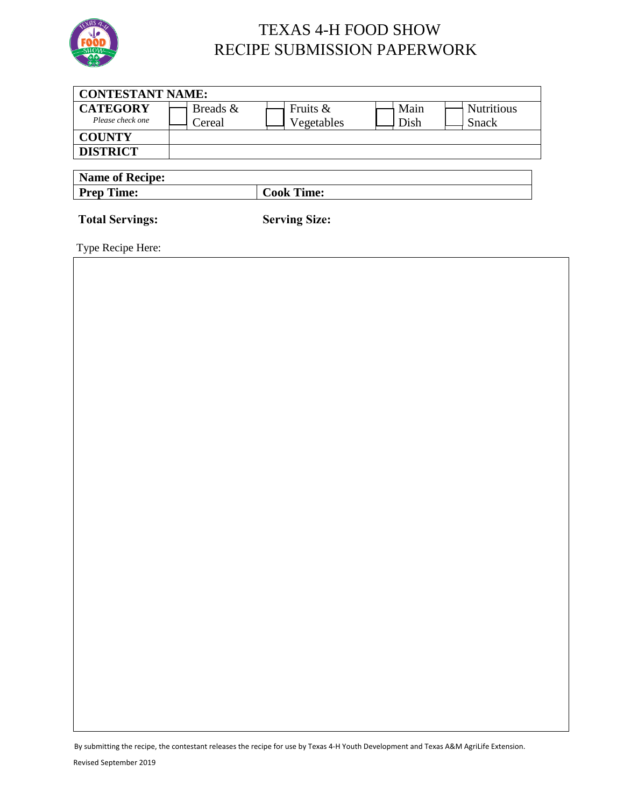

### TEXAS 4-H FOOD SHOW RECIPE SUBMISSION PAPERWORK

| <b>CONTESTANT NAME:</b>             |                    |                        |              |                                   |  |
|-------------------------------------|--------------------|------------------------|--------------|-----------------------------------|--|
| <b>CATEGORY</b><br>Please check one | Breads &<br>Cereal | Fruits &<br>Vegetables | Main<br>Dish | <b>Nutritious</b><br><b>Snack</b> |  |
| <b>COUNTY</b>                       |                    |                        |              |                                   |  |
| <b>DISTRICT</b>                     |                    |                        |              |                                   |  |
| <b>Name of Recipe:</b>              |                    |                        |              |                                   |  |
| <b>Prep Time:</b>                   |                    | <b>Cook Time:</b>      |              |                                   |  |
| <b>Total Servings:</b>              |                    | <b>Serving Size:</b>   |              |                                   |  |

Type Recipe Here:

By submitting the recipe, the contestant releases the recipe for use by Texas 4-H Youth Development and Texas A&M AgriLife Extension.